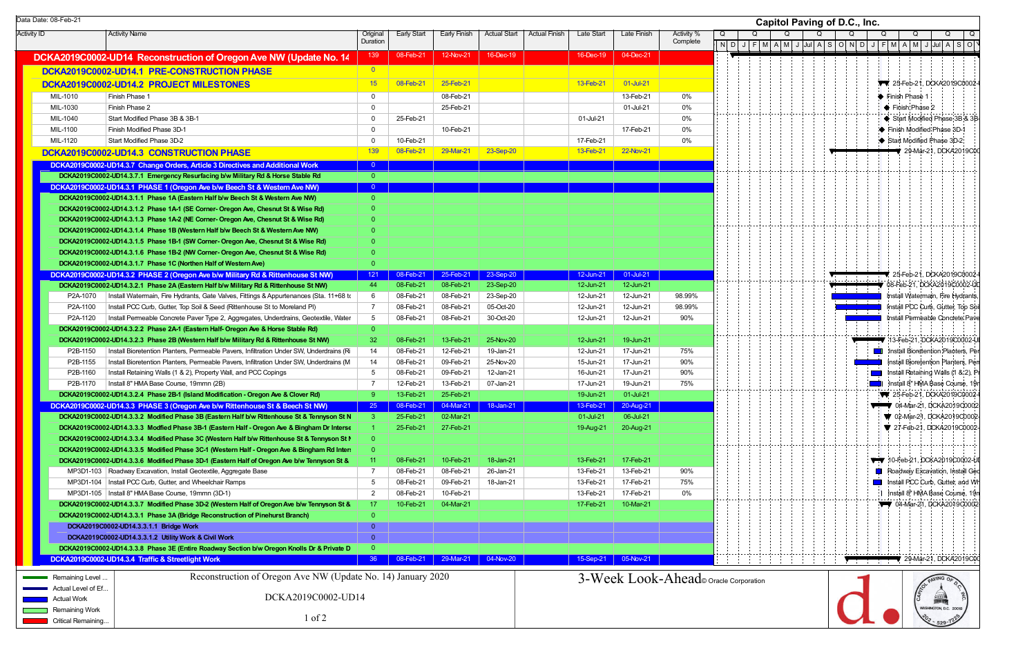|                    | Data Date: 08-Feb-21  |                                                                                                                                                                                            |                      |                        |                        |                     |                      |                        |                        |                        | Capitol Paving of D.C., Inc.                              |
|--------------------|-----------------------|--------------------------------------------------------------------------------------------------------------------------------------------------------------------------------------------|----------------------|------------------------|------------------------|---------------------|----------------------|------------------------|------------------------|------------------------|-----------------------------------------------------------|
| <b>Activity ID</b> |                       | <b>Activity Name</b>                                                                                                                                                                       | Original<br>Duration | Early Start            | Early Finish           | <b>Actual Start</b> | <b>Actual Finish</b> | Late Start             | Late Finish            | Activity %<br>Complete | Q<br>$\Omega$<br>$\Omega$<br>Q<br>Q<br>Q<br>Q<br>Q        |
|                    |                       | DCKA2019C0002-UD14 Reconstruction of Oregon Ave NW (Update No. 14                                                                                                                          | 139                  | 08-Feb-21              | 12-Nov-21              | 16-Dec-19           |                      | 16-Dec-19              | 04-Dec-21              |                        |                                                           |
|                    |                       | DCKA2019C0002-UD14.1 PRE-CONSTRUCTION PHASE                                                                                                                                                | $\overline{0}$       |                        |                        |                     |                      |                        |                        |                        |                                                           |
|                    |                       | DCKA2019C0002-UD14.2 PROJECT MILESTONES                                                                                                                                                    | 15                   | 08-Feb-21              | 25-Feb-21              |                     |                      | 13-Feb-21              | 01-Jul-21              |                        | 77 25-Feb-21, DCKA2019C0002-                              |
|                    | MIL-1010              | Finish Phase 1                                                                                                                                                                             | $\overline{0}$       |                        | 08-Feb-21              |                     |                      |                        | 13-Feb-21              | 0%                     | $\blacktriangleright$ Finish Phase 1                      |
|                    | MIL-1030              | Finish Phase 2                                                                                                                                                                             | $\overline{0}$       |                        | 25-Feb-21              |                     |                      |                        | 01-Jul-21              | 0%                     | $\blacklozenge$ Finish Phase 2                            |
|                    | MIL-1040              | Start Modified Phase 3B & 3B-1                                                                                                                                                             | $\overline{0}$       | 25-Feb-21              |                        |                     |                      | 01-Jul-21              |                        | 0%                     | ◆ Start Modified Phase 3B & 3B                            |
|                    | MIL-1100              | Finish Modified Phase 3D-1                                                                                                                                                                 | $\Omega$             |                        | 10-Feb-21              |                     |                      |                        | 17-Feb-21              | 0%                     | Finish Modified Phase 3D-1                                |
|                    | MIL-1120              | Start Modified Phase 3D-2                                                                                                                                                                  | $\Omega$             | 10-Feb-21              |                        |                     |                      | 17-Feb-21              |                        | 0%                     | Start Modified Phase 3D-2                                 |
|                    |                       | DCKA2019C0002-UD14.3 CONSTRUCTION PHASE                                                                                                                                                    | 139                  | 08-Feb-21              | 29-Mar-21              | 23-Sep-20           |                      | 13-Feb-21              | 22-Nov-21              |                        | 29-Mar-21, DCKA2019C0                                     |
|                    |                       | DCKA2019C0002-UD14.3.7 Change Orders, Article 3 Directives and Additional Work                                                                                                             | $\overline{0}$       |                        |                        |                     |                      |                        |                        |                        |                                                           |
|                    |                       | DCKA2019C0002-UD14.3.7.1 Emergency Resurfacing b/w Military Rd & Horse Stable Rd                                                                                                           | $\overline{0}$       |                        |                        |                     |                      |                        |                        |                        |                                                           |
|                    |                       | DCKA2019C0002-UD14.3.1 PHASE 1 (Oregon Ave b/w Beech St & Western Ave NW)                                                                                                                  | $\overline{0}$       |                        |                        |                     |                      |                        |                        |                        |                                                           |
|                    |                       | DCKA2019C0002-UD14.3.1.1 Phase 1A (Eastern Half b/w Beech St & Western Ave NW)                                                                                                             | $\overline{0}$       |                        |                        |                     |                      |                        |                        |                        |                                                           |
|                    |                       | DCKA2019C0002-UD14.3.1.2 Phase 1A-1 (SE Corner- Oregon Ave, Chesnut St & Wise Rd)                                                                                                          | $\Omega$             |                        |                        |                     |                      |                        |                        |                        |                                                           |
|                    |                       | DCKA2019C0002-UD14.3.1.3 Phase 1A-2 (NE Corner- Oregon Ave, Chesnut St & Wise Rd)                                                                                                          | $\Omega$             |                        |                        |                     |                      |                        |                        |                        |                                                           |
|                    |                       | DCKA2019C0002-UD14.3.1.4 Phase 1B (Western Half b/w Beech St & Western Ave NW)                                                                                                             | $\Omega$             |                        |                        |                     |                      |                        |                        |                        |                                                           |
|                    |                       | DCKA2019C0002-UD14.3.1.5 Phase 1B-1 (SW Corner- Oregon Ave, Chesnut St & Wise Rd)<br>DCKA2019C0002-UD14.3.1.6 Phase 1B-2 (NW Corner- Oregon Ave, Chesnut St & Wise Rd)                     | $\Omega$             |                        |                        |                     |                      |                        |                        |                        |                                                           |
|                    |                       | DCKA2019C0002-UD14.3.1.7 Phase 1C (Northen Half of Western Ave)                                                                                                                            | $\Omega$             |                        |                        |                     |                      |                        |                        |                        |                                                           |
|                    |                       | DCKA2019C0002-UD14.3.2 PHASE 2 (Oregon Ave b/w Military Rd & Rittenhouse St NW)                                                                                                            | 121                  | 08-Feb-21              | 25-Feb-21              | 23-Sep-20           |                      | 12-Jun-21              | 01-Jul-21              |                        | 25-Feb-21, DCKA2019C0002                                  |
|                    |                       | DCKA2019C0002-UD14.3.2.1 Phase 2A (Eastern Half b/w Military Rd & Rittenhouse St NW)                                                                                                       | 44                   | 08-Feb-21              | 08-Feb-21              | 23-Sep-20           |                      | 12-Jun-21              | 12-Jun-21              |                        | '08-Feb-21, DCKA2019C0002-UI                              |
|                    | P2A-1070              | Install Watermain, Fire Hydrants, Gate Valves, Fittings & Appurtenances (Sta. 11+68 to                                                                                                     | - 6                  | 08-Feb-21              | 08-Feb-21              | 23-Sep-20           |                      | 12-Jun-21              | 12-Jun-21              | 98.99%                 | Maria de Ba<br>Install Watermain, Fire Hydrants.          |
|                    | P2A-1100              | Install PCC Curb, Gutter, Top Soil & Seed (Rittenhouse St to Moreland PI)                                                                                                                  | $\overline{7}$       | 08-Feb-21              | 08-Feb-21              | 05-Oct-20           |                      | 12-Jun-21              | 12-Jun-21              | 98.99%                 | Install PCC Curb, Gutter, Top Soi                         |
|                    | P2A-1120              | Install Permeable Concrete Paver Type 2, Aggregates, Underdrains, Geotextile, Water                                                                                                        | 5                    | 08-Feb-21              | 08-Feb-21              | 30-Oct-20           |                      | 12-Jun-21              | 12-Jun-21              | 90%                    | i i i<br>Install Permeable Concrete Pave                  |
|                    |                       | DCKA2019C0002-UD14.3.2.2 Phase 2A-1 (Eastern Half- Oregon Ave & Horse Stable Rd)                                                                                                           | $\overline{0}$       |                        |                        |                     |                      |                        |                        |                        |                                                           |
|                    |                       | DCKA2019C0002-UD14.3.2.3 Phase 2B (Western Half b/w Military Rd & Rittenhouse St NW)                                                                                                       | -32                  | 08-Feb-21              | 13-Feb-21              | 25-Nov-20           |                      | 12-Jun-21              | 19-Jun-21              |                        | 13-Feb-21, DCKA2019C0002-U                                |
|                    | P2B-1150              | Install Bioretention Planters, Permeable Pavers, Infiltration Under SW, Underdrains (Ri                                                                                                    | 14                   | 08-Feb-21              | 12-Feb-21              | 19-Jan-21           |                      | 12-Jun-21              | 17-Jun-21              | 75%                    | Install Bioretention Planters, Per                        |
|                    | P2B-1155              | Install Bioretention Planters, Permeable Pavers, Infiltration Under SW, Underdrains (M                                                                                                     | 14                   | 08-Feb-21              | 09-Feb-21              | 25-Nov-20           |                      | 15-Jun-21              | 17-Jun-21              | 90%                    | Install Bioretention Planters, Pen                        |
|                    | P2B-1160              | Install Retaining Walls (1 & 2), Property Wall, and PCC Copings                                                                                                                            | $5^{\circ}$          | 08-Feb-21              | 09-Feb-21              | 12-Jan-21           |                      | 16-Jun-21              | 17-Jun-21              | 90%                    | Install Retaining Walls (1 & 2), Pr                       |
|                    | P2B-1170              | Install 8" HMA Base Course, 19mmn (2B)                                                                                                                                                     | - 7                  | 12-Feb-21              | 13-Feb-21              | 07-Jan-21           |                      | 17-Jun-21              | 19-Jun-21              | 75%                    | I Install 8" HMA Base Course, 19n                         |
|                    |                       | DCKA2019C0002-UD14.3.2.4 Phase 2B-1 (Island Modification - Oregon Ave & Clover Rd)                                                                                                         | 9                    | 13-Feb-21              | 25-Feb-21              |                     |                      | 19-Jun-21              | 01-Jul-21              |                        | 25-Feb-21, DCKA2019C0002-                                 |
|                    |                       | DCKA2019C0002-UD14.3.3 PHASE 3 (Oregon Ave b/w Rittenhouse St & Beech St NW)                                                                                                               | 25                   | 08-Feb-21              | 04-Mar-21              | 18-Jan-21           |                      | 13-Feb-21              | 20-Aug-21              |                        | 04-Mar-21, DCKA2019C0002                                  |
|                    |                       | DCKA2019C0002-UD14.3.3.2 Modified Phase 3B (Eastern Half b/w Rittenhouse St & Tennyson St N<br>DCKA2019C0002-UD14.3.3.3 Modfied Phase 3B-1 (Eastern Half - Oregon Ave & Bingham Dr Interse | $\mathbf{3}$         | 25-Feb-21<br>25-Feb-21 | 02-Mar-21<br>27-Feb-21 |                     |                      | 01-Jul-21<br>19-Aug-21 | 06-Jul-21<br>20-Aug-21 |                        | ₩ 02-Mar-21, DCKA2019C0002<br>7 27-Feb-21, DCKA2019C0002- |
|                    |                       | DCKA2019C0002-UD14.3.3.4 Modified Phase 3C (Western Half b/w Rittenhouse St & Tennyson St N                                                                                                |                      |                        |                        |                     |                      |                        |                        |                        |                                                           |
|                    |                       | DCKA2019C0002-UD14.3.3.5 Modified Phase 3C-1 (Western Half - Oregon Ave & Bingham Rd Inter                                                                                                 |                      |                        |                        |                     |                      |                        |                        |                        |                                                           |
|                    |                       | DCKA2019C0002-UD14.3.3.6 Modified Phase 3D-1 (Eastern Half of Oregon Ave b/w Tennyson St &                                                                                                 | 11                   | 08-Feb-21              | 10-Feb-21              | 18-Jan-21           |                      | 13-Feb-21              | 17-Feb-21              |                        | 10-Feb-21, DCKA2019C0002-U                                |
|                    |                       | MP3D1-103   Roadway Excavation, Install Geotextile, Aggregate Base                                                                                                                         | - 7                  | 08-Feb-21              | 08-Feb-21              | 26-Jan-21           |                      | 13-Feb-21              | 13-Feb-21              | 90%                    | Roadway Excavation, Install Geo                           |
|                    |                       | MP3D1-104   Install PCC Curb, Gutter, and Wheelchair Ramps                                                                                                                                 | 5                    | 08-Feb-21              | 09-Feb-21              | 18-Jan-21           |                      | 13-Feb-21              | 17-Feb-21              | 75%                    | Install PCC Curb, Gutter, and Wh                          |
|                    |                       | MP3D1-105   Install 8" HMA Base Course, 19mmn (3D-1)                                                                                                                                       | $\overline{2}$       | 08-Feb-21              | 10-Feb-21              |                     |                      | 13-Feb-21              | 17-Feb-21              | 0%                     | I Install 8" HMA Base Course, 19n                         |
|                    |                       | DCKA2019C0002-UD14.3.3.7 Modified Phase 3D-2 (Western Half of Oregon Ave b/w Tennyson St &                                                                                                 | 17                   | 10-Feb-21              | 04-Mar-21              |                     |                      | 17-Feb-21              | 10-Mar-21              |                        | $\n  04-Mar-21, DCKA2019C0002\n$                          |
|                    |                       | DCKA2019C0002-UD14.3.3.1 Phase 3A (Bridge Reconstruction of Pinehurst Branch)                                                                                                              | $\Omega$             |                        |                        |                     |                      |                        |                        |                        |                                                           |
|                    |                       | DCKA2019C0002-UD14.3.3.1.1 Bridge Work                                                                                                                                                     | $\overline{0}$       |                        |                        |                     |                      |                        |                        |                        |                                                           |
|                    |                       | DCKA2019C0002-UD14.3.3.1.2 Utility Work & Civil Work                                                                                                                                       | $\overline{0}$       |                        |                        |                     |                      |                        |                        |                        |                                                           |
|                    |                       | DCKA2019C0002-UD14.3.3.8 Phase 3E (Entire Roadway Section b/w Oregon Knolls Dr & Private D                                                                                                 | - 0                  |                        |                        |                     |                      |                        |                        |                        |                                                           |
|                    |                       | DCKA2019C0002-UD14.3.4 Traffic & Streetlight Work                                                                                                                                          | 36 <sup>°</sup>      | 08-Feb-21              | 29-Mar-21              | 04-Nov-20           |                      | 15-Sep-21              | 05-Nov-21              |                        | 29-Mar-21, DCKA2019C0                                     |
|                    | Remaining Level.      | Reconstruction of Oregon Ave NW (Update No. 14) January 2020                                                                                                                               |                      |                        |                        |                     |                      |                        |                        |                        | 3-Week Look-Ahead o Oracle Corporation                    |
|                    | .ctual Level of Ef    |                                                                                                                                                                                            |                      |                        |                        |                     |                      |                        |                        |                        |                                                           |
|                    | Actual Work           | DCKA2019C0002-UD14                                                                                                                                                                         |                      |                        |                        |                     |                      |                        |                        |                        | <b>Allen</b>                                              |
|                    | <b>Remaining Work</b> | $1$ of $2$                                                                                                                                                                                 |                      |                        |                        |                     |                      |                        |                        |                        | WASHINGTON, D.C. 2001                                     |
|                    | Critical Remaining    |                                                                                                                                                                                            |                      |                        |                        |                     |                      |                        |                        |                        |                                                           |